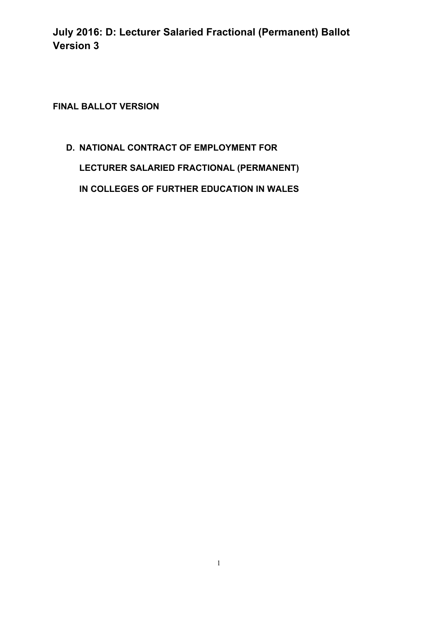**FINAL BALLOT VERSION** 

# **D. NATIONAL CONTRACT OF EMPLOYMENT FOR LECTURER SALARIED FRACTIONAL (PERMANENT) IN COLLEGES OF FURTHER EDUCATION IN WALES**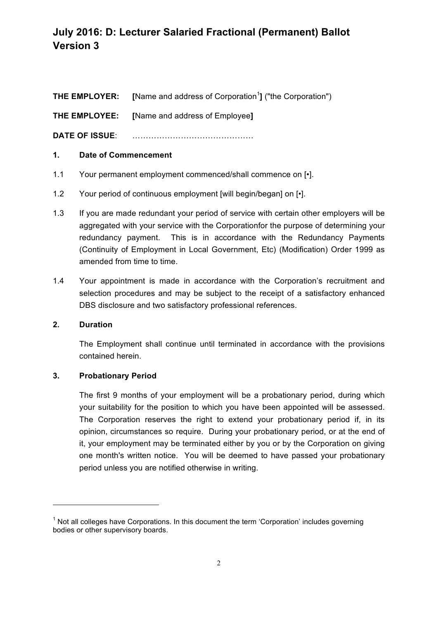| THE EMPLOYER: | [Name and address of Corporation <sup>1</sup> ] ("the Corporation") |
|---------------|---------------------------------------------------------------------|
|               |                                                                     |

**THE EMPLOYEE: [**Name and address of Employee**]**

**DATE OF ISSUE**: ………………………………………

### **1. Date of Commencement**

- 1.1 Your permanent employment commenced/shall commence on [•].
- 1.2 Your period of continuous employment [will begin/began] on [ $\cdot$ ].
- 1.3 If you are made redundant your period of service with certain other employers will be aggregated with your service with the Corporationfor the purpose of determining your redundancy payment. This is in accordance with the Redundancy Payments (Continuity of Employment in Local Government, Etc) (Modification) Order 1999 as amended from time to time.
- 1.4 Your appointment is made in accordance with the Corporation's recruitment and selection procedures and may be subject to the receipt of a satisfactory enhanced DBS disclosure and two satisfactory professional references.

### **2. Duration**

The Employment shall continue until terminated in accordance with the provisions contained herein.

### **3. Probationary Period**

<u> 1989 - Jan Samuel Barbara, político establecido de la provincia de la provincia de la provincia de la provinci</u>

The first 9 months of your employment will be a probationary period, during which your suitability for the position to which you have been appointed will be assessed. The Corporation reserves the right to extend your probationary period if, in its opinion, circumstances so require. During your probationary period, or at the end of it, your employment may be terminated either by you or by the Corporation on giving one month's written notice. You will be deemed to have passed your probationary period unless you are notified otherwise in writing.

 $1$  Not all colleges have Corporations. In this document the term 'Corporation' includes governing bodies or other supervisory boards.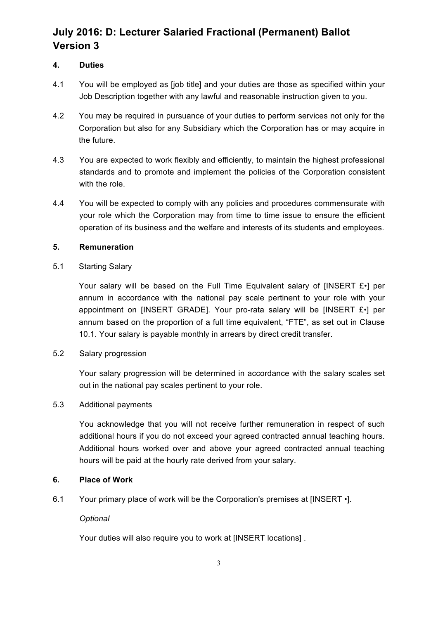### **4. Duties**

- 4.1 You will be employed as [job title] and your duties are those as specified within your Job Description together with any lawful and reasonable instruction given to you.
- 4.2 You may be required in pursuance of your duties to perform services not only for the Corporation but also for any Subsidiary which the Corporation has or may acquire in the future.
- 4.3 You are expected to work flexibly and efficiently, to maintain the highest professional standards and to promote and implement the policies of the Corporation consistent with the role.
- 4.4 You will be expected to comply with any policies and procedures commensurate with your role which the Corporation may from time to time issue to ensure the efficient operation of its business and the welfare and interests of its students and employees.

### **5. Remuneration**

### 5.1 Starting Salary

Your salary will be based on the Full Time Equivalent salary of [INSERT £•] per annum in accordance with the national pay scale pertinent to your role with your appointment on [INSERT GRADE]. Your pro-rata salary will be [INSERT £•] per annum based on the proportion of a full time equivalent, "FTE", as set out in Clause 10.1. Your salary is payable monthly in arrears by direct credit transfer.

### 5.2 Salary progression

Your salary progression will be determined in accordance with the salary scales set out in the national pay scales pertinent to your role.

### 5.3 Additional payments

You acknowledge that you will not receive further remuneration in respect of such additional hours if you do not exceed your agreed contracted annual teaching hours. Additional hours worked over and above your agreed contracted annual teaching hours will be paid at the hourly rate derived from your salary.

### **6. Place of Work**

6.1 Your primary place of work will be the Corporation's premises at [INSERT •].

### *Optional*

Your duties will also require you to work at IINSERT locations].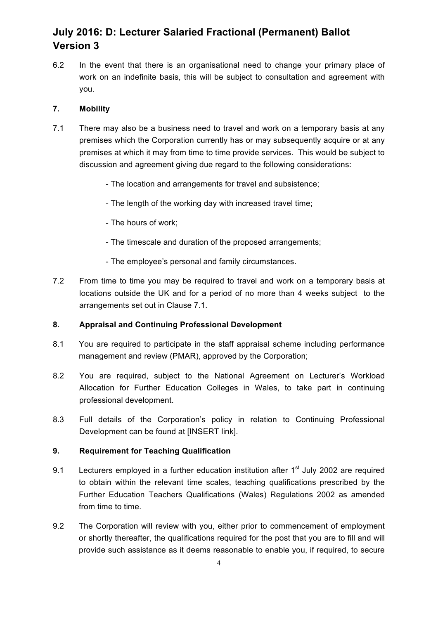6.2 In the event that there is an organisational need to change your primary place of work on an indefinite basis, this will be subject to consultation and agreement with you.

### **7. Mobility**

- 7.1 There may also be a business need to travel and work on a temporary basis at any premises which the Corporation currently has or may subsequently acquire or at any premises at which it may from time to time provide services. This would be subject to discussion and agreement giving due regard to the following considerations:
	- The location and arrangements for travel and subsistence;
	- The length of the working day with increased travel time;
	- The hours of work;
	- The timescale and duration of the proposed arrangements;
	- The employee's personal and family circumstances.
- 7.2 From time to time you may be required to travel and work on a temporary basis at locations outside the UK and for a period of no more than 4 weeks subject to the arrangements set out in Clause 7.1.

### **8. Appraisal and Continuing Professional Development**

- 8.1 You are required to participate in the staff appraisal scheme including performance management and review (PMAR), approved by the Corporation;
- 8.2 You are required, subject to the National Agreement on Lecturer's Workload Allocation for Further Education Colleges in Wales, to take part in continuing professional development.
- 8.3 Full details of the Corporation's policy in relation to Continuing Professional Development can be found at [INSERT link].

### **9. Requirement for Teaching Qualification**

- 9.1 Lecturers employed in a further education institution after  $1<sup>st</sup>$  July 2002 are required to obtain within the relevant time scales, teaching qualifications prescribed by the Further Education Teachers Qualifications (Wales) Regulations 2002 as amended from time to time.
- 9.2 The Corporation will review with you, either prior to commencement of employment or shortly thereafter, the qualifications required for the post that you are to fill and will provide such assistance as it deems reasonable to enable you, if required, to secure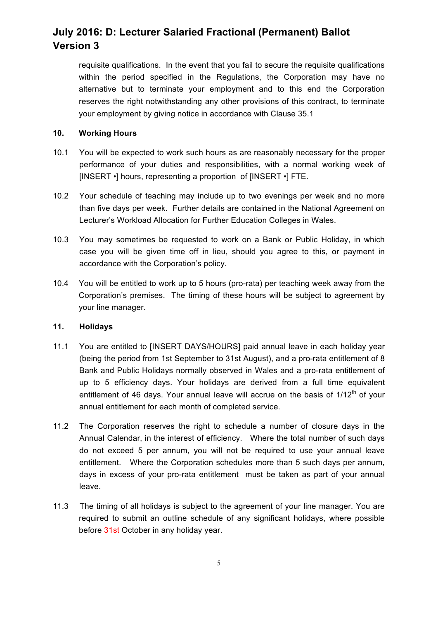requisite qualifications. In the event that you fail to secure the requisite qualifications within the period specified in the Regulations, the Corporation may have no alternative but to terminate your employment and to this end the Corporation reserves the right notwithstanding any other provisions of this contract, to terminate your employment by giving notice in accordance with Clause 35.1

### **10. Working Hours**

- 10.1 You will be expected to work such hours as are reasonably necessary for the proper performance of your duties and responsibilities, with a normal working week of [INSERT •] hours, representing a proportion of [INSERT •] FTE.
- 10.2 Your schedule of teaching may include up to two evenings per week and no more than five days per week. Further details are contained in the National Agreement on Lecturer's Workload Allocation for Further Education Colleges in Wales.
- 10.3 You may sometimes be requested to work on a Bank or Public Holiday, in which case you will be given time off in lieu, should you agree to this, or payment in accordance with the Corporation's policy.
- 10.4 You will be entitled to work up to 5 hours (pro-rata) per teaching week away from the Corporation's premises. The timing of these hours will be subject to agreement by your line manager.

### **11. Holidays**

- 11.1 You are entitled to [INSERT DAYS/HOURS] paid annual leave in each holiday year (being the period from 1st September to 31st August), and a pro-rata entitlement of 8 Bank and Public Holidays normally observed in Wales and a pro-rata entitlement of up to 5 efficiency days. Your holidays are derived from a full time equivalent entitlement of 46 days. Your annual leave will accrue on the basis of  $1/12<sup>th</sup>$  of your annual entitlement for each month of completed service.
- 11.2 The Corporation reserves the right to schedule a number of closure days in the Annual Calendar, in the interest of efficiency. Where the total number of such days do not exceed 5 per annum, you will not be required to use your annual leave entitlement. Where the Corporation schedules more than 5 such days per annum, days in excess of your pro-rata entitlement must be taken as part of your annual leave.
- 11.3 The timing of all holidays is subject to the agreement of your line manager. You are required to submit an outline schedule of any significant holidays, where possible before 31st October in any holiday year.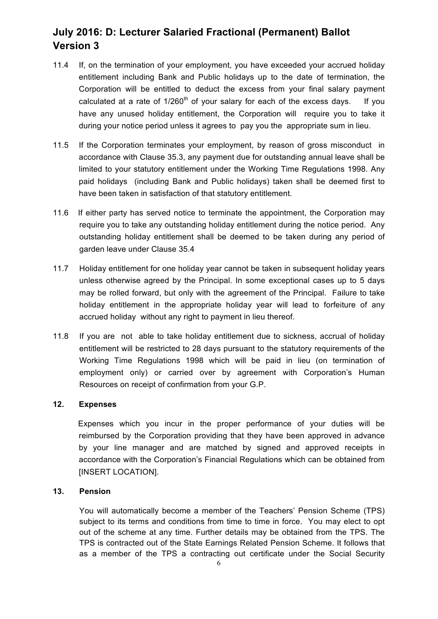- 11.4 If, on the termination of your employment, you have exceeded your accrued holiday entitlement including Bank and Public holidays up to the date of termination, the Corporation will be entitled to deduct the excess from your final salary payment calculated at a rate of  $1/260<sup>th</sup>$  of your salary for each of the excess days. If you have any unused holiday entitlement, the Corporation will require you to take it during your notice period unless it agrees to pay you the appropriate sum in lieu.
- 11.5 If the Corporation terminates your employment, by reason of gross misconduct in accordance with Clause 35.3, any payment due for outstanding annual leave shall be limited to your statutory entitlement under the Working Time Regulations 1998. Any paid holidays (including Bank and Public holidays) taken shall be deemed first to have been taken in satisfaction of that statutory entitlement.
- 11.6 If either party has served notice to terminate the appointment, the Corporation may require you to take any outstanding holiday entitlement during the notice period. Any outstanding holiday entitlement shall be deemed to be taken during any period of garden leave under Clause 35.4
- 11.7 Holiday entitlement for one holiday year cannot be taken in subsequent holiday years unless otherwise agreed by the Principal. In some exceptional cases up to 5 days may be rolled forward, but only with the agreement of the Principal. Failure to take holiday entitlement in the appropriate holiday year will lead to forfeiture of any accrued holiday without any right to payment in lieu thereof.
- 11.8 If you are not able to take holiday entitlement due to sickness, accrual of holiday entitlement will be restricted to 28 days pursuant to the statutory requirements of the Working Time Regulations 1998 which will be paid in lieu (on termination of employment only) or carried over by agreement with Corporation's Human Resources on receipt of confirmation from your G.P.

#### **12. Expenses**

Expenses which you incur in the proper performance of your duties will be reimbursed by the Corporation providing that they have been approved in advance by your line manager and are matched by signed and approved receipts in accordance with the Corporation's Financial Regulations which can be obtained from **IINSERT LOCATIONI.** 

### **13. Pension**

You will automatically become a member of the Teachers' Pension Scheme (TPS) subject to its terms and conditions from time to time in force. You may elect to opt out of the scheme at any time. Further details may be obtained from the TPS. The TPS is contracted out of the State Earnings Related Pension Scheme. It follows that as a member of the TPS a contracting out certificate under the Social Security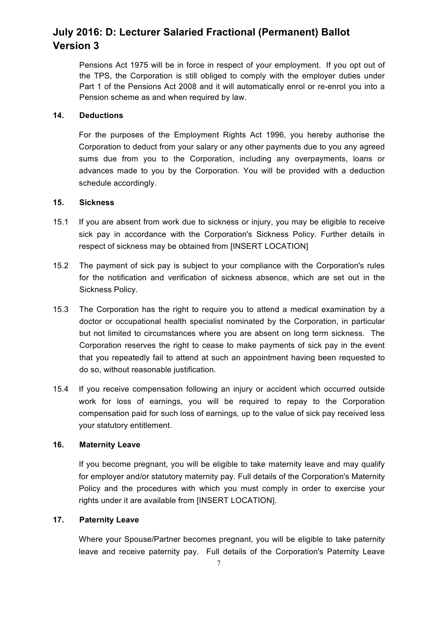Pensions Act 1975 will be in force in respect of your employment. If you opt out of the TPS, the Corporation is still obliged to comply with the employer duties under Part 1 of the Pensions Act 2008 and it will automatically enrol or re-enrol you into a Pension scheme as and when required by law.

### **14. Deductions**

For the purposes of the Employment Rights Act 1996, you hereby authorise the Corporation to deduct from your salary or any other payments due to you any agreed sums due from you to the Corporation, including any overpayments, loans or advances made to you by the Corporation. You will be provided with a deduction schedule accordingly.

### **15. Sickness**

- 15.1 If you are absent from work due to sickness or injury, you may be eligible to receive sick pay in accordance with the Corporation's Sickness Policy. Further details in respect of sickness may be obtained from [INSERT LOCATION]
- 15.2 The payment of sick pay is subject to your compliance with the Corporation's rules for the notification and verification of sickness absence, which are set out in the Sickness Policy.
- 15.3 The Corporation has the right to require you to attend a medical examination by a doctor or occupational health specialist nominated by the Corporation, in particular but not limited to circumstances where you are absent on long term sickness. The Corporation reserves the right to cease to make payments of sick pay in the event that you repeatedly fail to attend at such an appointment having been requested to do so, without reasonable justification.
- 15.4 If you receive compensation following an injury or accident which occurred outside work for loss of earnings, you will be required to repay to the Corporation compensation paid for such loss of earnings, up to the value of sick pay received less your statutory entitlement.

### **16. Maternity Leave**

If you become pregnant, you will be eligible to take maternity leave and may qualify for employer and/or statutory maternity pay. Full details of the Corporation's Maternity Policy and the procedures with which you must comply in order to exercise your rights under it are available from [INSERT LOCATION].

### **17. Paternity Leave**

Where your Spouse/Partner becomes pregnant, you will be eligible to take paternity leave and receive paternity pay. Full details of the Corporation's Paternity Leave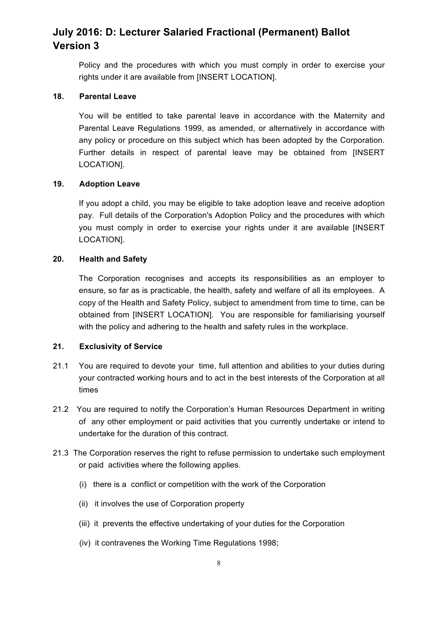Policy and the procedures with which you must comply in order to exercise your rights under it are available from [INSERT LOCATION].

### **18. Parental Leave**

You will be entitled to take parental leave in accordance with the Maternity and Parental Leave Regulations 1999, as amended, or alternatively in accordance with any policy or procedure on this subject which has been adopted by the Corporation. Further details in respect of parental leave may be obtained from [INSERT LOCATION].

### **19. Adoption Leave**

If you adopt a child, you may be eligible to take adoption leave and receive adoption pay. Full details of the Corporation's Adoption Policy and the procedures with which you must comply in order to exercise your rights under it are available [INSERT LOCATION].

### **20. Health and Safety**

The Corporation recognises and accepts its responsibilities as an employer to ensure, so far as is practicable, the health, safety and welfare of all its employees. A copy of the Health and Safety Policy, subject to amendment from time to time, can be obtained from [INSERT LOCATION]. You are responsible for familiarising yourself with the policy and adhering to the health and safety rules in the workplace.

#### **21. Exclusivity of Service**

- 21.1 You are required to devote your time, full attention and abilities to your duties during your contracted working hours and to act in the best interests of the Corporation at all times
- 21.2 You are required to notify the Corporation's Human Resources Department in writing of any other employment or paid activities that you currently undertake or intend to undertake for the duration of this contract.
- 21.3 The Corporation reserves the right to refuse permission to undertake such employment or paid activities where the following applies.
	- (i) there is a conflict or competition with the work of the Corporation
	- (ii) it involves the use of Corporation property
	- (iii) it prevents the effective undertaking of your duties for the Corporation
	- (iv) it contravenes the Working Time Regulations 1998;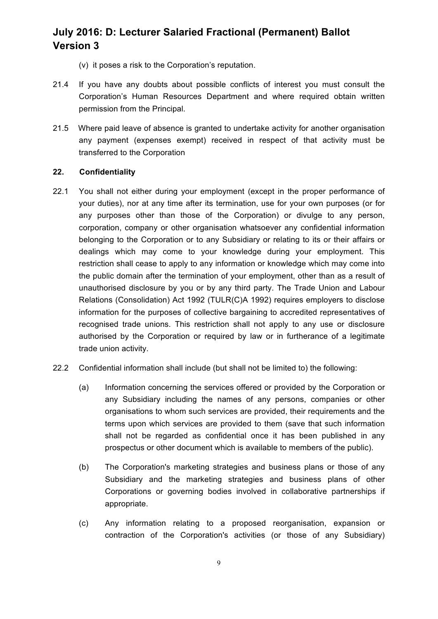- (v) it poses a risk to the Corporation's reputation.
- 21.4 If you have any doubts about possible conflicts of interest you must consult the Corporation's Human Resources Department and where required obtain written permission from the Principal.
- 21.5 Where paid leave of absence is granted to undertake activity for another organisation any payment (expenses exempt) received in respect of that activity must be transferred to the Corporation

### **22. Confidentiality**

- 22.1 You shall not either during your employment (except in the proper performance of your duties), nor at any time after its termination, use for your own purposes (or for any purposes other than those of the Corporation) or divulge to any person, corporation, company or other organisation whatsoever any confidential information belonging to the Corporation or to any Subsidiary or relating to its or their affairs or dealings which may come to your knowledge during your employment. This restriction shall cease to apply to any information or knowledge which may come into the public domain after the termination of your employment, other than as a result of unauthorised disclosure by you or by any third party. The Trade Union and Labour Relations (Consolidation) Act 1992 (TULR(C)A 1992) requires employers to disclose information for the purposes of collective bargaining to accredited representatives of recognised trade unions. This restriction shall not apply to any use or disclosure authorised by the Corporation or required by law or in furtherance of a legitimate trade union activity.
- 22.2 Confidential information shall include (but shall not be limited to) the following:
	- (a) Information concerning the services offered or provided by the Corporation or any Subsidiary including the names of any persons, companies or other organisations to whom such services are provided, their requirements and the terms upon which services are provided to them (save that such information shall not be regarded as confidential once it has been published in any prospectus or other document which is available to members of the public).
	- (b) The Corporation's marketing strategies and business plans or those of any Subsidiary and the marketing strategies and business plans of other Corporations or governing bodies involved in collaborative partnerships if appropriate.
	- (c) Any information relating to a proposed reorganisation, expansion or contraction of the Corporation's activities (or those of any Subsidiary)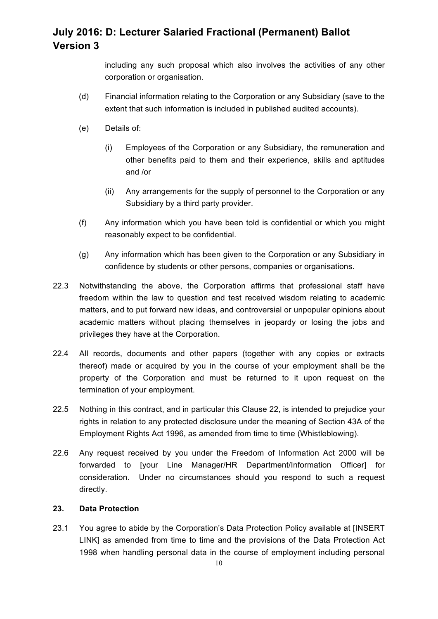including any such proposal which also involves the activities of any other corporation or organisation.

- (d) Financial information relating to the Corporation or any Subsidiary (save to the extent that such information is included in published audited accounts).
- (e) Details of:
	- (i) Employees of the Corporation or any Subsidiary, the remuneration and other benefits paid to them and their experience, skills and aptitudes and /or
	- (ii) Any arrangements for the supply of personnel to the Corporation or any Subsidiary by a third party provider.
- (f) Any information which you have been told is confidential or which you might reasonably expect to be confidential.
- (g) Any information which has been given to the Corporation or any Subsidiary in confidence by students or other persons, companies or organisations.
- 22.3 Notwithstanding the above, the Corporation affirms that professional staff have freedom within the law to question and test received wisdom relating to academic matters, and to put forward new ideas, and controversial or unpopular opinions about academic matters without placing themselves in jeopardy or losing the jobs and privileges they have at the Corporation.
- 22.4 All records, documents and other papers (together with any copies or extracts thereof) made or acquired by you in the course of your employment shall be the property of the Corporation and must be returned to it upon request on the termination of your employment.
- 22.5 Nothing in this contract, and in particular this Clause 22, is intended to prejudice your rights in relation to any protected disclosure under the meaning of Section 43A of the Employment Rights Act 1996, as amended from time to time (Whistleblowing).
- 22.6 Any request received by you under the Freedom of Information Act 2000 will be forwarded to [your Line Manager/HR Department/Information Officer] for consideration. Under no circumstances should you respond to such a request directly.

### **23. Data Protection**

23.1 You agree to abide by the Corporation's Data Protection Policy available at [INSERT LINK] as amended from time to time and the provisions of the Data Protection Act 1998 when handling personal data in the course of employment including personal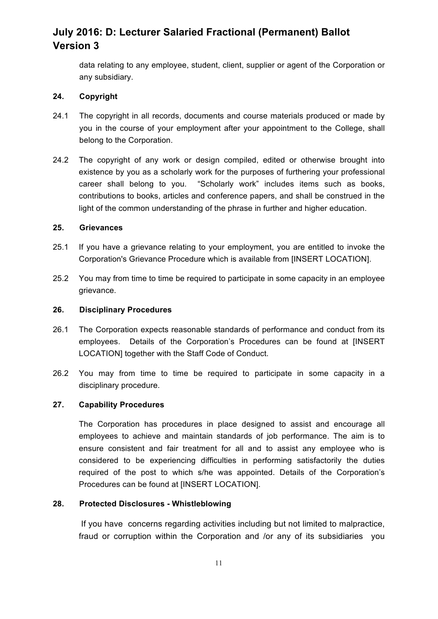data relating to any employee, student, client, supplier or agent of the Corporation or any subsidiary.

### **24. Copyright**

- 24.1 The copyright in all records, documents and course materials produced or made by you in the course of your employment after your appointment to the College, shall belong to the Corporation.
- 24.2 The copyright of any work or design compiled, edited or otherwise brought into existence by you as a scholarly work for the purposes of furthering your professional career shall belong to you. "Scholarly work" includes items such as books, contributions to books, articles and conference papers, and shall be construed in the light of the common understanding of the phrase in further and higher education.

#### **25. Grievances**

- 25.1 If you have a grievance relating to your employment, you are entitled to invoke the Corporation's Grievance Procedure which is available from [INSERT LOCATION].
- 25.2 You may from time to time be required to participate in some capacity in an employee grievance.

#### **26. Disciplinary Procedures**

- 26.1 The Corporation expects reasonable standards of performance and conduct from its employees. Details of the Corporation's Procedures can be found at [INSERT LOCATION] together with the Staff Code of Conduct.
- 26.2 You may from time to time be required to participate in some capacity in a disciplinary procedure.

#### **27. Capability Procedures**

The Corporation has procedures in place designed to assist and encourage all employees to achieve and maintain standards of job performance. The aim is to ensure consistent and fair treatment for all and to assist any employee who is considered to be experiencing difficulties in performing satisfactorily the duties required of the post to which s/he was appointed. Details of the Corporation's Procedures can be found at [INSERT LOCATION].

### **28. Protected Disclosures - Whistleblowing**

If you have concerns regarding activities including but not limited to malpractice, fraud or corruption within the Corporation and /or any of its subsidiaries you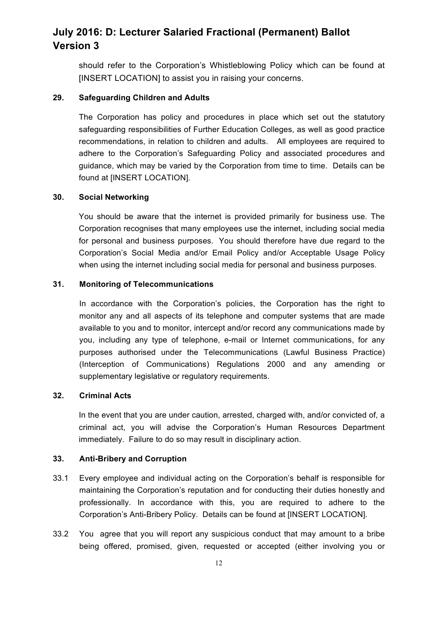should refer to the Corporation's Whistleblowing Policy which can be found at [INSERT LOCATION] to assist you in raising your concerns.

#### **29. Safeguarding Children and Adults**

The Corporation has policy and procedures in place which set out the statutory safeguarding responsibilities of Further Education Colleges, as well as good practice recommendations, in relation to children and adults. All employees are required to adhere to the Corporation's Safeguarding Policy and associated procedures and guidance, which may be varied by the Corporation from time to time. Details can be found at [INSERT LOCATION].

### **30. Social Networking**

You should be aware that the internet is provided primarily for business use. The Corporation recognises that many employees use the internet, including social media for personal and business purposes. You should therefore have due regard to the Corporation's Social Media and/or Email Policy and/or Acceptable Usage Policy when using the internet including social media for personal and business purposes.

### **31. Monitoring of Telecommunications**

In accordance with the Corporation's policies, the Corporation has the right to monitor any and all aspects of its telephone and computer systems that are made available to you and to monitor, intercept and/or record any communications made by you, including any type of telephone, e-mail or Internet communications, for any purposes authorised under the Telecommunications (Lawful Business Practice) (Interception of Communications) Regulations 2000 and any amending or supplementary legislative or regulatory requirements.

### **32. Criminal Acts**

In the event that you are under caution, arrested, charged with, and/or convicted of, a criminal act, you will advise the Corporation's Human Resources Department immediately. Failure to do so may result in disciplinary action.

#### **33. Anti-Bribery and Corruption**

- 33.1 Every employee and individual acting on the Corporation's behalf is responsible for maintaining the Corporation's reputation and for conducting their duties honestly and professionally. In accordance with this, you are required to adhere to the Corporation's Anti-Bribery Policy. Details can be found at [INSERT LOCATION].
- 33.2 You agree that you will report any suspicious conduct that may amount to a bribe being offered, promised, given, requested or accepted (either involving you or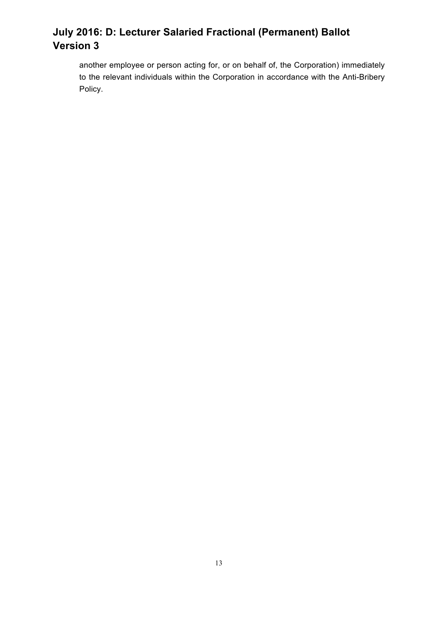another employee or person acting for, or on behalf of, the Corporation) immediately to the relevant individuals within the Corporation in accordance with the Anti-Bribery Policy.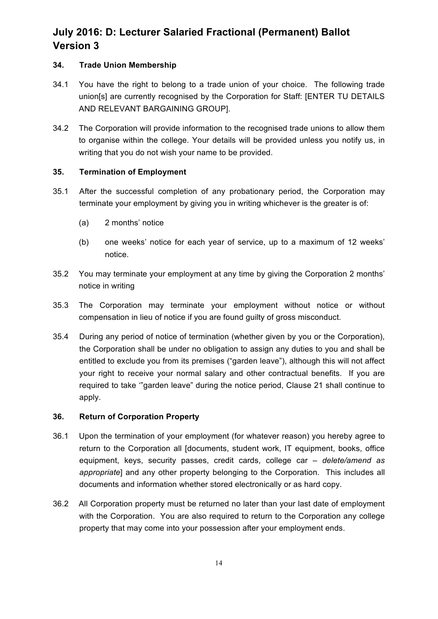### **34. Trade Union Membership**

- 34.1 You have the right to belong to a trade union of your choice. The following trade union[s] are currently recognised by the Corporation for Staff: [ENTER TU DETAILS AND RELEVANT BARGAINING GROUP].
- 34.2 The Corporation will provide information to the recognised trade unions to allow them to organise within the college. Your details will be provided unless you notify us, in writing that you do not wish your name to be provided.

### **35. Termination of Employment**

- 35.1 After the successful completion of any probationary period, the Corporation may terminate your employment by giving you in writing whichever is the greater is of:
	- (a) 2 months' notice
	- (b) one weeks' notice for each year of service, up to a maximum of 12 weeks' notice.
- 35.2 You may terminate your employment at any time by giving the Corporation 2 months' notice in writing
- 35.3 The Corporation may terminate your employment without notice or without compensation in lieu of notice if you are found guilty of gross misconduct.
- 35.4 During any period of notice of termination (whether given by you or the Corporation), the Corporation shall be under no obligation to assign any duties to you and shall be entitled to exclude you from its premises ("garden leave"), although this will not affect your right to receive your normal salary and other contractual benefits. If you are required to take '"garden leave" during the notice period, Clause 21 shall continue to apply.

### **36. Return of Corporation Property**

- 36.1 Upon the termination of your employment (for whatever reason) you hereby agree to return to the Corporation all [documents, student work, IT equipment, books, office equipment, keys, security passes, credit cards, college car *– delete/amend as appropriate*] and any other property belonging to the Corporation. This includes all documents and information whether stored electronically or as hard copy.
- 36.2 All Corporation property must be returned no later than your last date of employment with the Corporation. You are also required to return to the Corporation any college property that may come into your possession after your employment ends.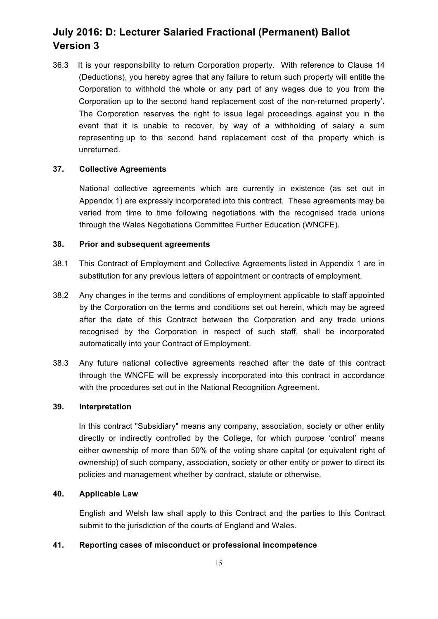36.3 It is your responsibility to return Corporation property. With reference to Clause 14 (Deductions), you hereby agree that any failure to return such property will entitle the Corporation to withhold the whole or any part of any wages due to you from the Corporation up to the second hand replacement cost of the non-returned property'. The Corporation reserves the right to issue legal proceedings against you in the event that it is unable to recover, by way of a withholding of salary a sum representing up to the second hand replacement cost of the property which is unreturned.

#### **37. Collective Agreements**

National collective agreements which are currently in existence (as set out in Appendix 1) are expressly incorporated into this contract. These agreements may be varied from time to time following negotiations with the recognised trade unions through the Wales Negotiations Committee Further Education (WNCFE).

#### **38. Prior and subsequent agreements**

- 38.1 This Contract of Employment and Collective Agreements listed in Appendix 1 are in substitution for any previous letters of appointment or contracts of employment.
- 38.2 Any changes in the terms and conditions of employment applicable to staff appointed by the Corporation on the terms and conditions set out herein, which may be agreed after the date of this Contract between the Corporation and any trade unions recognised by the Corporation in respect of such staff, shall be incorporated automatically into your Contract of Employment.
- 38.3 Any future national collective agreements reached after the date of this contract through the WNCFE will be expressly incorporated into this contract in accordance with the procedures set out in the National Recognition Agreement.

#### **39. Interpretation**

In this contract "Subsidiary" means any company, association, society or other entity directly or indirectly controlled by the College, for which purpose 'control' means either ownership of more than 50% of the voting share capital (or equivalent right of ownership) of such company, association, society or other entity or power to direct its policies and management whether by contract, statute or otherwise.

#### **40. Applicable Law**

English and Welsh law shall apply to this Contract and the parties to this Contract submit to the jurisdiction of the courts of England and Wales.

### **41. Reporting cases of misconduct or professional incompetence**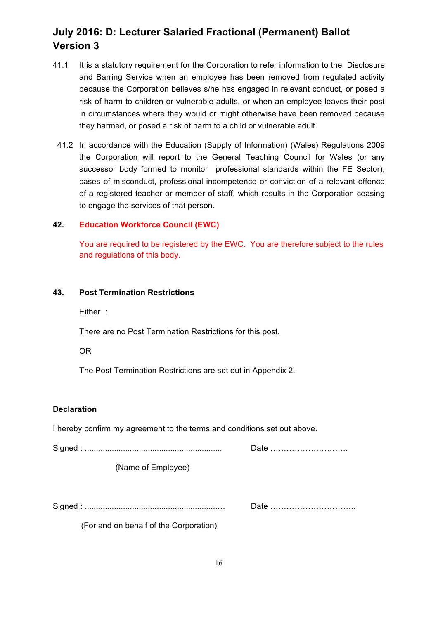- 41.1 It is a statutory requirement for the Corporation to refer information to the Disclosure and Barring Service when an employee has been removed from regulated activity because the Corporation believes s/he has engaged in relevant conduct, or posed a risk of harm to children or vulnerable adults, or when an employee leaves their post in circumstances where they would or might otherwise have been removed because they harmed, or posed a risk of harm to a child or vulnerable adult.
	- 41.2 In accordance with the Education (Supply of Information) (Wales) Regulations 2009 the Corporation will report to the General Teaching Council for Wales (or any successor body formed to monitor professional standards within the FE Sector), cases of misconduct, professional incompetence or conviction of a relevant offence of a registered teacher or member of staff, which results in the Corporation ceasing to engage the services of that person.

### **42. Education Workforce Council (EWC)**

You are required to be registered by the EWC. You are therefore subject to the rules and regulations of this body.

### **43. Post Termination Restrictions**

Either :

There are no Post Termination Restrictions for this post.

OR

The Post Termination Restrictions are set out in Appendix 2.

#### **Declaration**

I hereby confirm my agreement to the terms and conditions set out above.

Signed : ............................................................. Date ………………………..

(Name of Employee)

Signed : ...........................................................… Date …………………………..

(For and on behalf of the Corporation)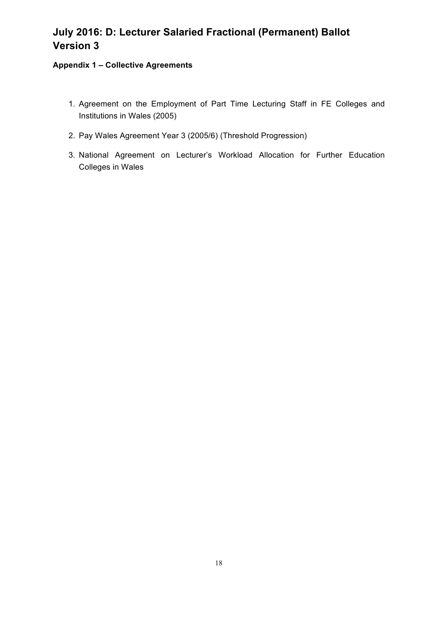### **Appendix 1 – Collective Agreements**

- 1. Agreement on the Employment of Part Time Lecturing Staff in FE Colleges and Institutions in Wales (2005)
- 2. Pay Wales Agreement Year 3 (2005/6) (Threshold Progression)
- 3. National Agreement on Lecturer's Workload Allocation for Further Education Colleges in Wales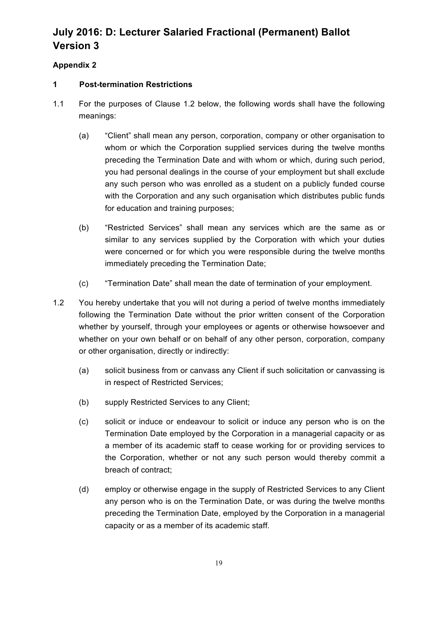## **Appendix 2**

### **1 Post-termination Restrictions**

- 1.1 For the purposes of Clause 1.2 below, the following words shall have the following meanings:
	- (a) "Client" shall mean any person, corporation, company or other organisation to whom or which the Corporation supplied services during the twelve months preceding the Termination Date and with whom or which, during such period, you had personal dealings in the course of your employment but shall exclude any such person who was enrolled as a student on a publicly funded course with the Corporation and any such organisation which distributes public funds for education and training purposes;
	- (b) "Restricted Services" shall mean any services which are the same as or similar to any services supplied by the Corporation with which your duties were concerned or for which you were responsible during the twelve months immediately preceding the Termination Date;
	- (c) "Termination Date" shall mean the date of termination of your employment.
- 1.2 You hereby undertake that you will not during a period of twelve months immediately following the Termination Date without the prior written consent of the Corporation whether by yourself, through your employees or agents or otherwise howsoever and whether on your own behalf or on behalf of any other person, corporation, company or other organisation, directly or indirectly:
	- (a) solicit business from or canvass any Client if such solicitation or canvassing is in respect of Restricted Services;
	- (b) supply Restricted Services to any Client;
	- (c) solicit or induce or endeavour to solicit or induce any person who is on the Termination Date employed by the Corporation in a managerial capacity or as a member of its academic staff to cease working for or providing services to the Corporation, whether or not any such person would thereby commit a breach of contract;
	- (d) employ or otherwise engage in the supply of Restricted Services to any Client any person who is on the Termination Date, or was during the twelve months preceding the Termination Date, employed by the Corporation in a managerial capacity or as a member of its academic staff.